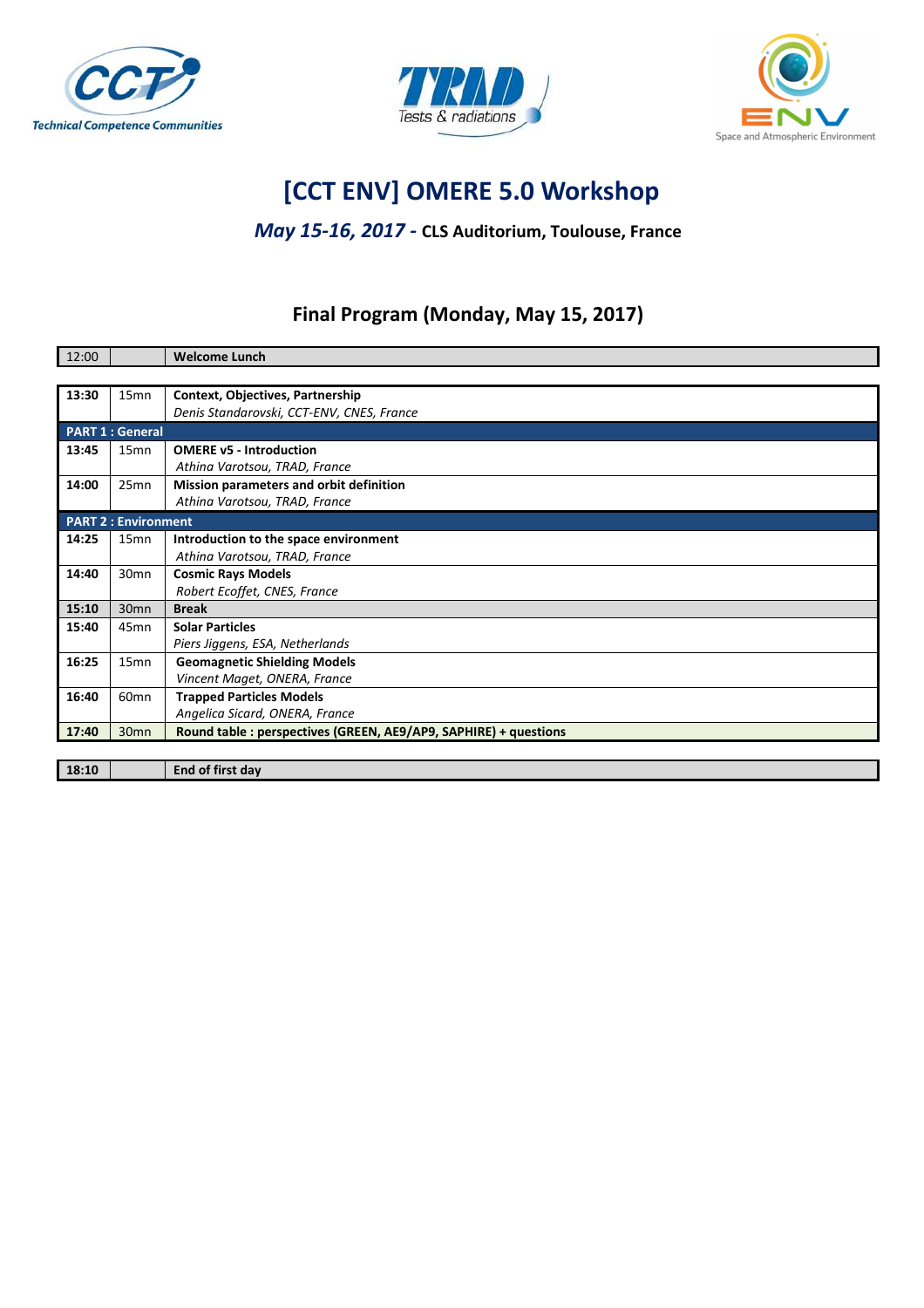





# **[CCT ENV] OMERE 5.0 Workshop**

#### *May 15-16, 2017 -* **CLS Auditorium, Toulouse, France**

### **Final Program (Monday, May 15, 2017)**

| 12:00 |                            | <b>Welcome Lunch</b>                                             |
|-------|----------------------------|------------------------------------------------------------------|
|       |                            |                                                                  |
| 13:30 | 15 <sub>mn</sub>           | <b>Context, Objectives, Partnership</b>                          |
|       |                            | Denis Standarovski, CCT-ENV, CNES, France                        |
|       | <b>PART 1: General</b>     |                                                                  |
| 13:45 | 15 <sub>mn</sub>           | <b>OMERE v5 - Introduction</b>                                   |
|       |                            | Athina Varotsou, TRAD, France                                    |
| 14:00 | 25mn                       | Mission parameters and orbit definition                          |
|       |                            | Athina Varotsou, TRAD, France                                    |
|       | <b>PART 2: Environment</b> |                                                                  |
| 14:25 | 15 <sub>mn</sub>           | Introduction to the space environment                            |
|       |                            | Athina Varotsou, TRAD, France                                    |
| 14:40 | 30 <sub>mn</sub>           | <b>Cosmic Rays Models</b>                                        |
|       |                            | Robert Ecoffet, CNES, France                                     |
| 15:10 | 30 <sub>mn</sub>           | <b>Break</b>                                                     |
| 15:40 | 45 <sub>mn</sub>           | <b>Solar Particles</b>                                           |
|       |                            | Piers Jiggens, ESA, Netherlands                                  |
| 16:25 | 15 <sub>mn</sub>           | <b>Geomagnetic Shielding Models</b>                              |
|       |                            | Vincent Maget, ONERA, France                                     |
| 16:40 | 60 <sub>mn</sub>           | <b>Trapped Particles Models</b>                                  |
|       |                            | Angelica Sicard, ONERA, France                                   |
| 17:40 | 30 <sub>mn</sub>           | Round table : perspectives (GREEN, AE9/AP9, SAPHIRE) + questions |
|       |                            |                                                                  |
| 18:10 |                            | End of first day                                                 |